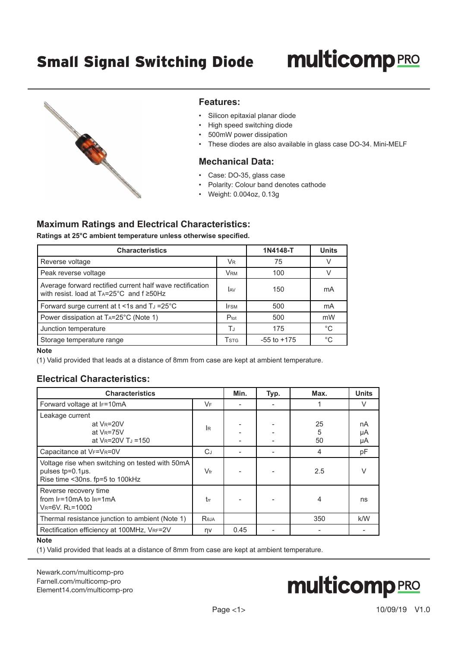# **multicomp**PRO



#### **Features:**

- Silicon epitaxial planar diode
- High speed switching diode
- 500mW power dissipation
- These diodes are also available in glass case DO-34. Mini-MELF

#### **Mechanical Data:**

- Case: DO-35, glass case
- Polarity: Colour band denotes cathode
- Weight: 0.004oz, 0.13g

### **Maximum Ratings and Electrical Characteristics:**

**Ratings at 25°C ambient temperature unless otherwise specified.**

| <b>Characteristics</b>                                                                                              | 1N4148-T             | <b>Units</b>    |             |
|---------------------------------------------------------------------------------------------------------------------|----------------------|-----------------|-------------|
| Reverse voltage                                                                                                     | <b>V<sub>R</sub></b> | 75              | V           |
| Peak reverse voltage                                                                                                | <b>VRM</b>           | 100             |             |
| Average forward rectified current half wave rectification<br>with resist. load at $Ta=25^{\circ}C$ and $f \ge 50Hz$ | <b>JAV</b>           | 150             | mA          |
| Forward surge current at $t < 1$ s and TJ = 25°C                                                                    | <b>IFSM</b>          | 500             | mA          |
| Power dissipation at TA=25°C (Note 1)                                                                               | $P_{\text{tot}}$     | 500             | mW          |
| Junction temperature                                                                                                | TJ                   | 175             | $^{\circ}C$ |
| Storage temperature range                                                                                           | Tstg                 | $-55$ to $+175$ | $^{\circ}C$ |

**Note**

(1) Valid provided that leads at a distance of 8mm from case are kept at ambient temperature.

#### **Electrical Characteristics:**

| <b>Characteristics</b>                                                                                 |              | Min. | Typ. | Max.          | <b>Units</b>   |
|--------------------------------------------------------------------------------------------------------|--------------|------|------|---------------|----------------|
| Forward voltage at IF=10mA                                                                             | VF           |      |      |               | V              |
| Leakage current<br>at $V_R = 20V$<br>at $V_R = 75V$<br>at $V_R = 20V T_J = 150$                        | <b>IR</b>    |      |      | 25<br>5<br>50 | nA<br>μA<br>μA |
| Capacitance at VF=VR=0V                                                                                | $C_J$        |      |      | 4             | рF             |
| Voltage rise when switching on tested with 50mA<br>pulses tp=0.1µs.<br>Rise time <30ns. fp=5 to 100kHz | $V_{\rm fr}$ |      |      | 2.5           | V              |
| Reverse recovery time<br>from $F=10mA$ to $F=1mA$<br>$V_R = 6V$ . $R_L = 100\Omega$                    | trr          |      |      | 4             | ns             |
| Thermal resistance junction to ambient (Note 1)                                                        | Reja         |      |      | 350           | k/W            |
| Rectification efficiency at 100MHz, VRF=2V<br>$1.1 - 4 - 1.$                                           | ηv           | 0.45 |      |               |                |

**Note**

(1) Valid provided that leads at a distance of 8mm from case are kept at ambient temperature.

[Newark.com/multicomp-](https://www.newark.com/multicomp-pro)pro [Farnell.com/multicomp](https://www.farnell.com/multicomp-pro)-pro [Element14.com/multicomp-pro](https://element14.com/multicomp-pro)

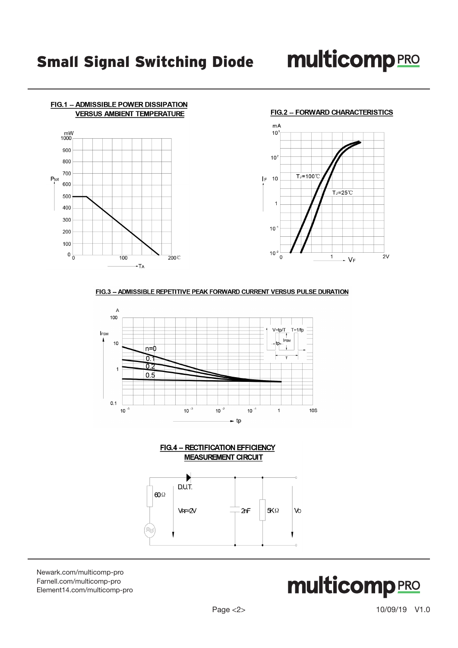



#### FIG.3 -- ADMISSIBLE REPETITIVE PEAK FORWARD CURRENT VERSUS PULSE DURATION



**FIG.4 - RECTIFICATION EFFICIENCY MEASUREMENT CIRCUIT** 



[Newark.com/multicomp-](https://www.newark.com/multicomp-pro)pro [Farnell.com/multicomp](https://www.farnell.com/multicomp-pro)-pro [Element14.com/multicomp-pro](https://element14.com/multicomp-pro)